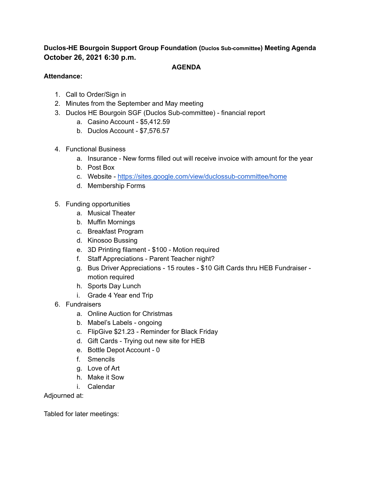## **Duclos-HE Bourgoin Support Group Foundation (Duclos Sub-committee) Meeting Agenda October 26, 2021 6:30 p.m.**

#### **AGENDA**

#### **Attendance:**

- 1. Call to Order/Sign in
- 2. Minutes from the September and May meeting
- 3. Duclos HE Bourgoin SGF (Duclos Sub-committee) financial report
	- a. Casino Account \$5,412.59
	- b. Duclos Account \$7,576.57
- 4. Functional Business
	- a. Insurance New forms filled out will receive invoice with amount for the year
	- b. Post Box
	- c. Website <https://sites.google.com/view/duclossub-committee/home>
	- d. Membership Forms
- 5. Funding opportunities
	- a. Musical Theater
	- b. Muffin Mornings
	- c. Breakfast Program
	- d. Kinosoo Bussing
	- e. 3D Printing filament \$100 Motion required
	- f. Staff Appreciations Parent Teacher night?
	- g. Bus Driver Appreciations 15 routes \$10 Gift Cards thru HEB Fundraiser motion required
	- h. Sports Day Lunch
	- i. Grade 4 Year end Trip
- 6. Fundraisers
	- a. Online Auction for Christmas
	- b. Mabel's Labels ongoing
	- c. FlipGive \$21.23 Reminder for Black Friday
	- d. Gift Cards Trying out new site for HEB
	- e. Bottle Depot Account 0
	- f. Smencils
	- g. Love of Art
	- h. Make it Sow
	- i. Calendar

Adjourned at:

Tabled for later meetings: